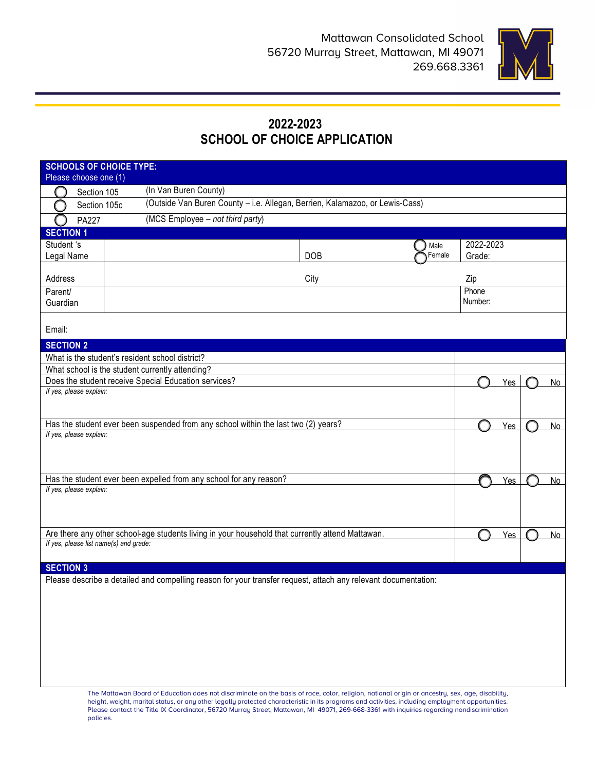

## **2022-2023 SCHOOL OF CHOICE APPLICATION**

| <b>SCHOOLS OF CHOICE TYPE:</b>                                                                                                             |                                                                                                                |                                                                              |            |           |         |            |       |           |  |  |
|--------------------------------------------------------------------------------------------------------------------------------------------|----------------------------------------------------------------------------------------------------------------|------------------------------------------------------------------------------|------------|-----------|---------|------------|-------|-----------|--|--|
| Please choose one (1)                                                                                                                      |                                                                                                                |                                                                              |            |           |         |            |       |           |  |  |
| Section 105                                                                                                                                |                                                                                                                | (In Van Buren County)                                                        |            |           |         |            |       |           |  |  |
| Section 105c                                                                                                                               |                                                                                                                | (Outside Van Buren County - i.e. Allegan, Berrien, Kalamazoo, or Lewis-Cass) |            |           |         |            |       |           |  |  |
| PA227                                                                                                                                      |                                                                                                                | (MCS Employee - not third party)                                             |            |           |         |            |       |           |  |  |
| <b>SECTION 1</b>                                                                                                                           |                                                                                                                |                                                                              |            |           |         |            |       |           |  |  |
|                                                                                                                                            | Student 's<br>Male<br>Female                                                                                   |                                                                              |            | 2022-2023 |         |            |       |           |  |  |
| Legal Name                                                                                                                                 |                                                                                                                |                                                                              | <b>DOB</b> |           | Grade:  |            |       |           |  |  |
| Address                                                                                                                                    |                                                                                                                |                                                                              | City       |           | Zip     |            |       |           |  |  |
| Parent/                                                                                                                                    |                                                                                                                |                                                                              |            |           |         |            | Phone |           |  |  |
| Guardian                                                                                                                                   |                                                                                                                |                                                                              |            |           | Number: |            |       |           |  |  |
| Email:                                                                                                                                     |                                                                                                                |                                                                              |            |           |         |            |       |           |  |  |
| <b>SECTION 2</b>                                                                                                                           |                                                                                                                |                                                                              |            |           |         |            |       |           |  |  |
|                                                                                                                                            | What is the student's resident school district?                                                                |                                                                              |            |           |         |            |       |           |  |  |
| What school is the student currently attending?                                                                                            |                                                                                                                |                                                                              |            |           |         |            |       |           |  |  |
| Does the student receive Special Education services?                                                                                       |                                                                                                                |                                                                              |            |           |         | Yes        |       | No        |  |  |
| If yes, please explain:                                                                                                                    |                                                                                                                |                                                                              |            |           |         |            |       |           |  |  |
|                                                                                                                                            |                                                                                                                |                                                                              |            |           |         |            |       |           |  |  |
| Has the student ever been suspended from any school within the last two (2) years?                                                         |                                                                                                                |                                                                              |            |           |         | Yes        |       | <u>No</u> |  |  |
| If yes, please explain:                                                                                                                    |                                                                                                                |                                                                              |            |           |         |            |       |           |  |  |
|                                                                                                                                            |                                                                                                                |                                                                              |            |           |         |            |       |           |  |  |
|                                                                                                                                            |                                                                                                                |                                                                              |            |           |         |            |       |           |  |  |
| Has the student ever been expelled from any school for any reason?                                                                         |                                                                                                                |                                                                              |            |           |         | Yes        |       | No        |  |  |
| If yes, please explain:                                                                                                                    |                                                                                                                |                                                                              |            |           |         |            |       |           |  |  |
|                                                                                                                                            |                                                                                                                |                                                                              |            |           |         |            |       |           |  |  |
|                                                                                                                                            |                                                                                                                |                                                                              |            |           |         |            |       |           |  |  |
|                                                                                                                                            |                                                                                                                |                                                                              |            |           |         |            |       |           |  |  |
| Are there any other school-age students living in your household that currently attend Mattawan.<br>If yes, please list name(s) and grade: |                                                                                                                |                                                                              |            |           |         | <b>Yes</b> |       | No        |  |  |
|                                                                                                                                            |                                                                                                                |                                                                              |            |           |         |            |       |           |  |  |
| <b>SECTION 3</b>                                                                                                                           |                                                                                                                |                                                                              |            |           |         |            |       |           |  |  |
|                                                                                                                                            | Please describe a detailed and compelling reason for your transfer request, attach any relevant documentation: |                                                                              |            |           |         |            |       |           |  |  |
|                                                                                                                                            |                                                                                                                |                                                                              |            |           |         |            |       |           |  |  |
|                                                                                                                                            |                                                                                                                |                                                                              |            |           |         |            |       |           |  |  |
|                                                                                                                                            |                                                                                                                |                                                                              |            |           |         |            |       |           |  |  |
|                                                                                                                                            |                                                                                                                |                                                                              |            |           |         |            |       |           |  |  |
|                                                                                                                                            |                                                                                                                |                                                                              |            |           |         |            |       |           |  |  |
|                                                                                                                                            |                                                                                                                |                                                                              |            |           |         |            |       |           |  |  |
|                                                                                                                                            |                                                                                                                |                                                                              |            |           |         |            |       |           |  |  |

The Mattawan Board of Education does not discriminate on the basis of race, color, religion, national origin or ancestry, sex, age, disability, height, weight, marital status, or any other legally protected characteristic in its programs and activities, including employment opportunities. Please contact the Title IX Coordinator, 56720 Murray Street, Mattawan, MI 49071, 269-668-3361 with inquiries regarding nondiscrimination policies.